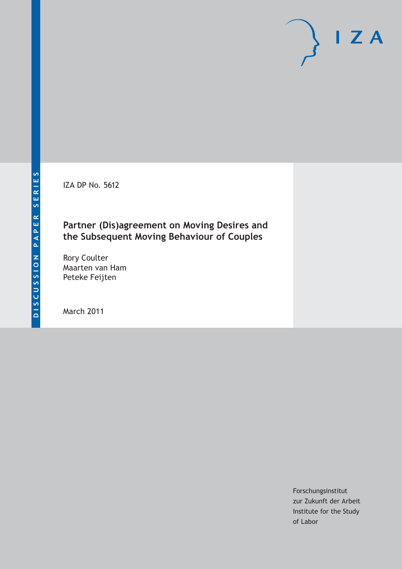IZA DP No. 5612

# **Partner (Dis)agreement on Moving Desires and the Subsequent Moving Behaviour of Couples**

Rory Coulter Maarten van Ham Peteke Feijten

March 2011

Forschungsinstitut zur Zukunft der Arbeit Institute for the Study of Labor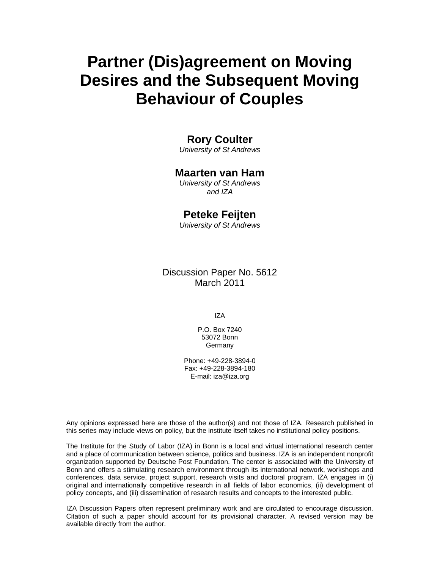# **Partner (Dis)agreement on Moving Desires and the Subsequent Moving Behaviour of Couples**

# **Rory Coulter**

*University of St Andrews* 

# **Maarten van Ham**

*University of St Andrews and IZA* 

# **Peteke Feijten**

*University of St Andrews* 

Discussion Paper No. 5612 March 2011

IZA

P.O. Box 7240 53072 Bonn Germany

Phone: +49-228-3894-0 Fax: +49-228-3894-180 E-mail: iza@iza.org

Any opinions expressed here are those of the author(s) and not those of IZA. Research published in this series may include views on policy, but the institute itself takes no institutional policy positions.

The Institute for the Study of Labor (IZA) in Bonn is a local and virtual international research center and a place of communication between science, politics and business. IZA is an independent nonprofit organization supported by Deutsche Post Foundation. The center is associated with the University of Bonn and offers a stimulating research environment through its international network, workshops and conferences, data service, project support, research visits and doctoral program. IZA engages in (i) original and internationally competitive research in all fields of labor economics, (ii) development of policy concepts, and (iii) dissemination of research results and concepts to the interested public.

IZA Discussion Papers often represent preliminary work and are circulated to encourage discussion. Citation of such a paper should account for its provisional character. A revised version may be available directly from the author.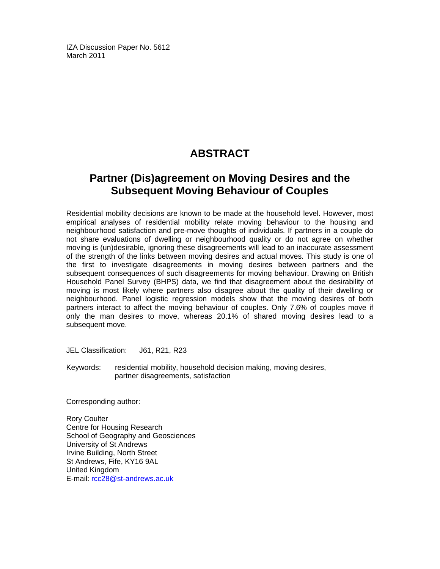IZA Discussion Paper No. 5612 March 2011

# **ABSTRACT**

# **Partner (Dis)agreement on Moving Desires and the Subsequent Moving Behaviour of Couples**

Residential mobility decisions are known to be made at the household level. However, most empirical analyses of residential mobility relate moving behaviour to the housing and neighbourhood satisfaction and pre-move thoughts of individuals. If partners in a couple do not share evaluations of dwelling or neighbourhood quality or do not agree on whether moving is (un)desirable, ignoring these disagreements will lead to an inaccurate assessment of the strength of the links between moving desires and actual moves. This study is one of the first to investigate disagreements in moving desires between partners and the subsequent consequences of such disagreements for moving behaviour. Drawing on British Household Panel Survey (BHPS) data, we find that disagreement about the desirability of moving is most likely where partners also disagree about the quality of their dwelling or neighbourhood. Panel logistic regression models show that the moving desires of both partners interact to affect the moving behaviour of couples. Only 7.6% of couples move if only the man desires to move, whereas 20.1% of shared moving desires lead to a subsequent move.

JEL Classification: J61, R21, R23

Keywords: residential mobility, household decision making, moving desires, partner disagreements, satisfaction

Corresponding author:

Rory Coulter Centre for Housing Research School of Geography and Geosciences University of St Andrews Irvine Building, North Street St Andrews, Fife, KY16 9AL United Kingdom E-mail: rcc28@st-andrews.ac.uk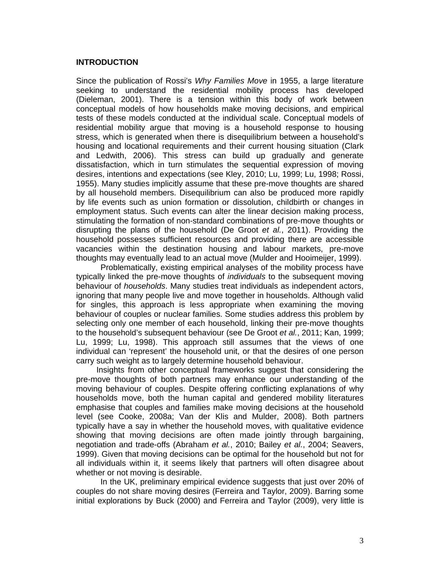## **INTRODUCTION**

Since the publication of Rossi's *Why Families Move* in 1955, a large literature seeking to understand the residential mobility process has developed (Dieleman, 2001). There is a tension within this body of work between conceptual models of how households make moving decisions, and empirical tests of these models conducted at the individual scale. Conceptual models of residential mobility argue that moving is a household response to housing stress, which is generated when there is disequilibrium between a household's housing and locational requirements and their current housing situation (Clark and Ledwith, 2006). This stress can build up gradually and generate dissatisfaction, which in turn stimulates the sequential expression of moving desires, intentions and expectations (see Kley, 2010; Lu, 1999; Lu, 1998; Rossi, 1955). Many studies implicitly assume that these pre-move thoughts are shared by all household members. Disequilibrium can also be produced more rapidly by life events such as union formation or dissolution, childbirth or changes in employment status. Such events can alter the linear decision making process, stimulating the formation of non-standard combinations of pre-move thoughts or disrupting the plans of the household (De Groot *et al.*, 2011). Providing the household possesses sufficient resources and providing there are accessible vacancies within the destination housing and labour markets, pre-move thoughts may eventually lead to an actual move (Mulder and Hooimeijer, 1999).

 Problematically, existing empirical analyses of the mobility process have typically linked the pre-move thoughts of *individuals* to the subsequent moving behaviour of *households*. Many studies treat individuals as independent actors, ignoring that many people live and move together in households. Although valid for singles, this approach is less appropriate when examining the moving behaviour of couples or nuclear families. Some studies address this problem by selecting only one member of each household, linking their pre-move thoughts to the household's subsequent behaviour (see De Groot *et al.*, 2011; Kan, 1999; Lu, 1999; Lu, 1998). This approach still assumes that the views of one individual can 'represent' the household unit, or that the desires of one person carry such weight as to largely determine household behaviour.

 Insights from other conceptual frameworks suggest that considering the pre-move thoughts of both partners may enhance our understanding of the moving behaviour of couples. Despite offering conflicting explanations of why households move, both the human capital and gendered mobility literatures emphasise that couples and families make moving decisions at the household level (see Cooke, 2008a; Van der Klis and Mulder, 2008). Both partners typically have a say in whether the household moves, with qualitative evidence showing that moving decisions are often made jointly through bargaining, negotiation and trade-offs (Abraham *et al.*, 2010; Bailey *et al.*, 2004; Seavers, 1999). Given that moving decisions can be optimal for the household but not for all individuals within it, it seems likely that partners will often disagree about whether or not moving is desirable.

 In the UK, preliminary empirical evidence suggests that just over 20% of couples do not share moving desires (Ferreira and Taylor, 2009). Barring some initial explorations by Buck (2000) and Ferreira and Taylor (2009), very little is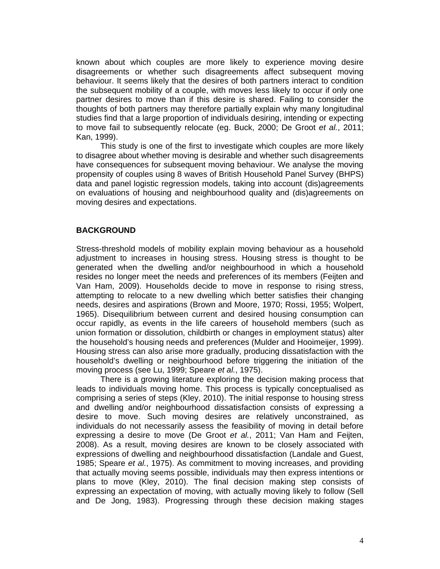known about which couples are more likely to experience moving desire disagreements or whether such disagreements affect subsequent moving behaviour. It seems likely that the desires of both partners interact to condition the subsequent mobility of a couple, with moves less likely to occur if only one partner desires to move than if this desire is shared. Failing to consider the thoughts of both partners may therefore partially explain why many longitudinal studies find that a large proportion of individuals desiring, intending or expecting to move fail to subsequently relocate (eg. Buck, 2000; De Groot *et al.*, 2011; Kan, 1999).

This study is one of the first to investigate which couples are more likely to disagree about whether moving is desirable and whether such disagreements have consequences for subsequent moving behaviour. We analyse the moving propensity of couples using 8 waves of British Household Panel Survey (BHPS) data and panel logistic regression models, taking into account (dis)agreements on evaluations of housing and neighbourhood quality and (dis)agreements on moving desires and expectations.

# **BACKGROUND**

Stress-threshold models of mobility explain moving behaviour as a household adjustment to increases in housing stress. Housing stress is thought to be generated when the dwelling and/or neighbourhood in which a household resides no longer meet the needs and preferences of its members (Feijten and Van Ham, 2009). Households decide to move in response to rising stress, attempting to relocate to a new dwelling which better satisfies their changing needs, desires and aspirations (Brown and Moore, 1970; Rossi, 1955; Wolpert, 1965). Disequilibrium between current and desired housing consumption can occur rapidly, as events in the life careers of household members (such as union formation or dissolution, childbirth or changes in employment status) alter the household's housing needs and preferences (Mulder and Hooimeijer, 1999). Housing stress can also arise more gradually, producing dissatisfaction with the household's dwelling or neighbourhood before triggering the initiation of the moving process (see Lu, 1999; Speare *et al.*, 1975).

There is a growing literature exploring the decision making process that leads to individuals moving home. This process is typically conceptualised as comprising a series of steps (Kley, 2010). The initial response to housing stress and dwelling and/or neighbourhood dissatisfaction consists of expressing a desire to move. Such moving desires are relatively unconstrained, as individuals do not necessarily assess the feasibility of moving in detail before expressing a desire to move (De Groot *et al.*, 2011; Van Ham and Feijten, 2008). As a result, moving desires are known to be closely associated with expressions of dwelling and neighbourhood dissatisfaction (Landale and Guest, 1985; Speare *et al.*, 1975). As commitment to moving increases, and providing that actually moving seems possible, individuals may then express intentions or plans to move (Kley, 2010). The final decision making step consists of expressing an expectation of moving, with actually moving likely to follow (Sell and De Jong, 1983). Progressing through these decision making stages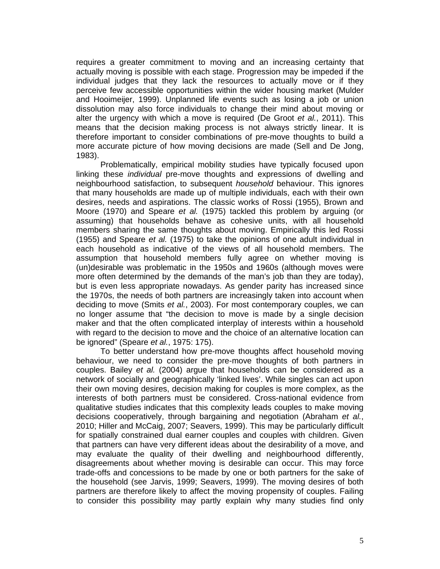requires a greater commitment to moving and an increasing certainty that actually moving is possible with each stage. Progression may be impeded if the individual judges that they lack the resources to actually move or if they perceive few accessible opportunities within the wider housing market (Mulder and Hooimeijer, 1999). Unplanned life events such as losing a job or union dissolution may also force individuals to change their mind about moving or alter the urgency with which a move is required (De Groot *et al.*, 2011). This means that the decision making process is not always strictly linear. It is therefore important to consider combinations of pre-move thoughts to build a more accurate picture of how moving decisions are made (Sell and De Jong, 1983).

Problematically, empirical mobility studies have typically focused upon linking these *individual* pre-move thoughts and expressions of dwelling and neighbourhood satisfaction, to subsequent *household* behaviour. This ignores that many households are made up of multiple individuals, each with their own desires, needs and aspirations. The classic works of Rossi (1955), Brown and Moore (1970) and Speare *et al.* (1975) tackled this problem by arguing (or assuming) that households behave as cohesive units, with all household members sharing the same thoughts about moving. Empirically this led Rossi (1955) and Speare *et al.* (1975) to take the opinions of one adult individual in each household as indicative of the views of all household members. The assumption that household members fully agree on whether moving is (un)desirable was problematic in the 1950s and 1960s (although moves were more often determined by the demands of the man's job than they are today), but is even less appropriate nowadays. As gender parity has increased since the 1970s, the needs of both partners are increasingly taken into account when deciding to move (Smits *et al.*, 2003). For most contemporary couples, we can no longer assume that "the decision to move is made by a single decision maker and that the often complicated interplay of interests within a household with regard to the decision to move and the choice of an alternative location can be ignored" (Speare *et al.*, 1975: 175).

To better understand how pre-move thoughts affect household moving behaviour, we need to consider the pre-move thoughts of both partners in couples. Bailey *et al.* (2004) argue that households can be considered as a network of socially and geographically 'linked lives'. While singles can act upon their own moving desires, decision making for couples is more complex, as the interests of both partners must be considered. Cross-national evidence from qualitative studies indicates that this complexity leads couples to make moving decisions cooperatively, through bargaining and negotiation (Abraham *et al.*, 2010; Hiller and McCaig, 2007; Seavers, 1999). This may be particularly difficult for spatially constrained dual earner couples and couples with children. Given that partners can have very different ideas about the desirability of a move, and may evaluate the quality of their dwelling and neighbourhood differently, disagreements about whether moving is desirable can occur. This may force trade-offs and concessions to be made by one or both partners for the sake of the household (see Jarvis, 1999; Seavers, 1999). The moving desires of both partners are therefore likely to affect the moving propensity of couples. Failing to consider this possibility may partly explain why many studies find only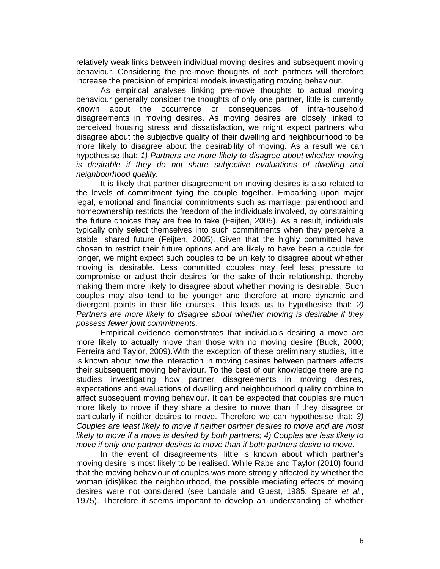relatively weak links between individual moving desires and subsequent moving behaviour. Considering the pre-move thoughts of both partners will therefore increase the precision of empirical models investigating moving behaviour.

As empirical analyses linking pre-move thoughts to actual moving behaviour generally consider the thoughts of only one partner, little is currently known about the occurrence or consequences of intra-household disagreements in moving desires. As moving desires are closely linked to perceived housing stress and dissatisfaction, we might expect partners who disagree about the subjective quality of their dwelling and neighbourhood to be more likely to disagree about the desirability of moving. As a result we can hypothesise that: *1) Partners are more likely to disagree about whether moving is desirable if they do not share subjective evaluations of dwelling and neighbourhood quality.* 

 It is likely that partner disagreement on moving desires is also related to the levels of commitment tying the couple together. Embarking upon major legal, emotional and financial commitments such as marriage, parenthood and homeownership restricts the freedom of the individuals involved, by constraining the future choices they are free to take (Feijten, 2005). As a result, individuals typically only select themselves into such commitments when they perceive a stable, shared future (Feijten, 2005). Given that the highly committed have chosen to restrict their future options and are likely to have been a couple for longer, we might expect such couples to be unlikely to disagree about whether moving is desirable. Less committed couples may feel less pressure to compromise or adjust their desires for the sake of their relationship, thereby making them more likely to disagree about whether moving is desirable. Such couples may also tend to be younger and therefore at more dynamic and divergent points in their life courses. This leads us to hypothesise that: *2) Partners are more likely to disagree about whether moving is desirable if they possess fewer joint commitments.*

Empirical evidence demonstrates that individuals desiring a move are more likely to actually move than those with no moving desire (Buck, 2000; Ferreira and Taylor, 2009). With the exception of these preliminary studies, little is known about how the interaction in moving desires between partners affects their subsequent moving behaviour. To the best of our knowledge there are no studies investigating how partner disagreements in moving desires, expectations and evaluations of dwelling and neighbourhood quality combine to affect subsequent moving behaviour. It can be expected that couples are much more likely to move if they share a desire to move than if they disagree or particularly if neither desires to move. Therefore we can hypothesise that: *3) Couples are least likely to move if neither partner desires to move and are most likely to move if a move is desired by both partners; 4) Couples are less likely to move if only one partner desires to move than if both partners desire to move.* 

In the event of disagreements, little is known about which partner's moving desire is most likely to be realised. While Rabe and Taylor (2010) found that the moving behaviour of couples was more strongly affected by whether the woman (dis)liked the neighbourhood, the possible mediating effects of moving desires were not considered (see Landale and Guest, 1985; Speare *et al.*, 1975). Therefore it seems important to develop an understanding of whether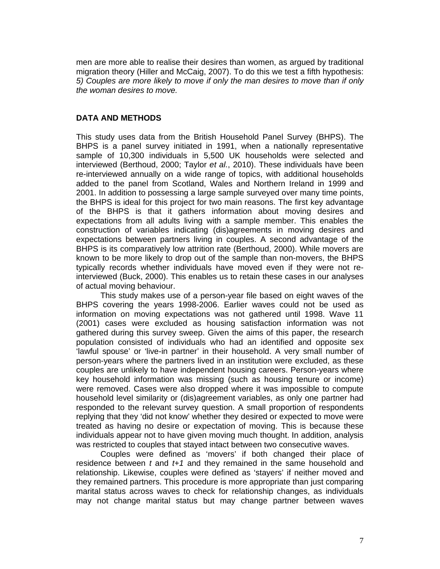men are more able to realise their desires than women, as argued by traditional migration theory (Hiller and McCaig, 2007). To do this we test a fifth hypothesis: *5) Couples are more likely to move if only the man desires to move than if only the woman desires to move.*

# **DATA AND METHODS**

This study uses data from the British Household Panel Survey (BHPS). The BHPS is a panel survey initiated in 1991, when a nationally representative sample of 10,300 individuals in 5,500 UK households were selected and interviewed (Berthoud, 2000; Taylor *et al.*, 2010). These individuals have been re-interviewed annually on a wide range of topics, with additional households added to the panel from Scotland, Wales and Northern Ireland in 1999 and 2001. In addition to possessing a large sample surveyed over many time points, the BHPS is ideal for this project for two main reasons. The first key advantage of the BHPS is that it gathers information about moving desires and expectations from all adults living with a sample member. This enables the construction of variables indicating (dis)agreements in moving desires and expectations between partners living in couples. A second advantage of the BHPS is its comparatively low attrition rate (Berthoud, 2000). While movers are known to be more likely to drop out of the sample than non-movers, the BHPS typically records whether individuals have moved even if they were not reinterviewed (Buck, 2000). This enables us to retain these cases in our analyses of actual moving behaviour.

This study makes use of a person-year file based on eight waves of the BHPS covering the years 1998-2006. Earlier waves could not be used as information on moving expectations was not gathered until 1998. Wave 11 (2001) cases were excluded as housing satisfaction information was not gathered during this survey sweep. Given the aims of this paper, the research population consisted of individuals who had an identified and opposite sex 'lawful spouse' or 'live-in partner' in their household. A very small number of person-years where the partners lived in an institution were excluded, as these couples are unlikely to have independent housing careers. Person-years where key household information was missing (such as housing tenure or income) were removed. Cases were also dropped where it was impossible to compute household level similarity or (dis)agreement variables, as only one partner had responded to the relevant survey question. A small proportion of respondents replying that they 'did not know' whether they desired or expected to move were treated as having no desire or expectation of moving. This is because these individuals appear not to have given moving much thought. In addition, analysis was restricted to couples that stayed intact between two consecutive waves.

Couples were defined as 'movers' if both changed their place of residence between *t* and *t+1* and they remained in the same household and relationship. Likewise, couples were defined as 'stayers' if neither moved and they remained partners. This procedure is more appropriate than just comparing marital status across waves to check for relationship changes, as individuals may not change marital status but may change partner between waves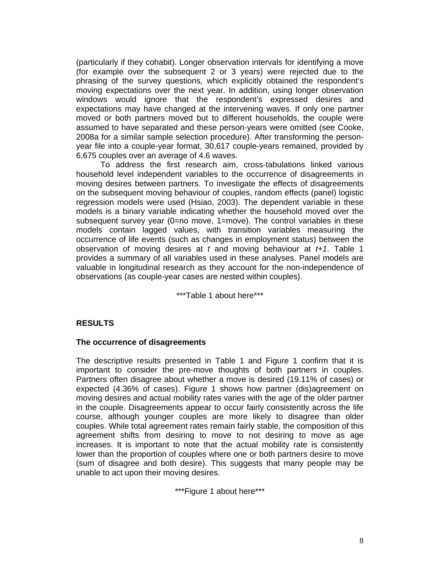(particularly if they cohabit). Longer observation intervals for identifying a move (for example over the subsequent 2 or 3 years) were rejected due to the phrasing of the survey questions, which explicitly obtained the respondent's moving expectations over the next year. In addition, using longer observation windows would ignore that the respondent's expressed desires and expectations may have changed at the intervening waves. If only one partner moved or both partners moved but to different households, the couple were assumed to have separated and these person-years were omitted (see Cooke, 2008a for a similar sample selection procedure). After transforming the personyear file into a couple-year format, 30,617 couple-years remained, provided by 6,675 couples over an average of 4.6 waves.

To address the first research aim, cross-tabulations linked various household level independent variables to the occurrence of disagreements in moving desires between partners. To investigate the effects of disagreements on the subsequent moving behaviour of couples, random effects (panel) logistic regression models were used (Hsiao, 2003). The dependent variable in these models is a binary variable indicating whether the household moved over the subsequent survey year (0=no move, 1=move). The control variables in these models contain lagged values, with transition variables measuring the occurrence of life events (such as changes in employment status) between the observation of moving desires at *t* and moving behaviour at *t+1*. Table 1 provides a summary of all variables used in these analyses. Panel models are valuable in longitudinal research as they account for the non-independence of observations (as couple-year cases are nested within couples).

\*\*\*Table 1 about here\*\*\*

# **RESULTS**

### **The occurrence of disagreements**

The descriptive results presented in Table 1 and Figure 1 confirm that it is important to consider the pre-move thoughts of both partners in couples. Partners often disagree about whether a move is desired (19.11% of cases) or expected (4.36% of cases). Figure 1 shows how partner (dis)agreement on moving desires and actual mobility rates varies with the age of the older partner in the couple. Disagreements appear to occur fairly consistently across the life course, although younger couples are more likely to disagree than older couples. While total agreement rates remain fairly stable, the composition of this agreement shifts from desiring to move to not desiring to move as age increases. It is important to note that the actual mobility rate is consistently lower than the proportion of couples where one or both partners desire to move (sum of disagree and both desire). This suggests that many people may be unable to act upon their moving desires.

\*\*\*Figure 1 about here\*\*\*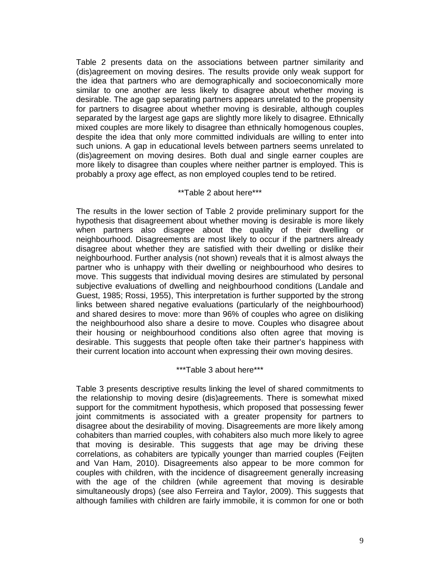Table 2 presents data on the associations between partner similarity and (dis)agreement on moving desires. The results provide only weak support for the idea that partners who are demographically and socioeconomically more similar to one another are less likely to disagree about whether moving is desirable. The age gap separating partners appears unrelated to the propensity for partners to disagree about whether moving is desirable, although couples separated by the largest age gaps are slightly more likely to disagree. Ethnically mixed couples are more likely to disagree than ethnically homogenous couples, despite the idea that only more committed individuals are willing to enter into such unions. A gap in educational levels between partners seems unrelated to (dis)agreement on moving desires. Both dual and single earner couples are more likely to disagree than couples where neither partner is employed. This is probably a proxy age effect, as non employed couples tend to be retired.

## \*\*Table 2 about here\*\*\*

The results in the lower section of Table 2 provide preliminary support for the hypothesis that disagreement about whether moving is desirable is more likely when partners also disagree about the quality of their dwelling or neighbourhood. Disagreements are most likely to occur if the partners already disagree about whether they are satisfied with their dwelling or dislike their neighbourhood. Further analysis (not shown) reveals that it is almost always the partner who is unhappy with their dwelling or neighbourhood who desires to move. This suggests that individual moving desires are stimulated by personal subjective evaluations of dwelling and neighbourhood conditions (Landale and Guest, 1985; Rossi, 1955), This interpretation is further supported by the strong links between shared negative evaluations (particularly of the neighbourhood) and shared desires to move: more than 96% of couples who agree on disliking the neighbourhood also share a desire to move. Couples who disagree about their housing or neighbourhood conditions also often agree that moving is desirable. This suggests that people often take their partner's happiness with their current location into account when expressing their own moving desires.

### \*\*\*Table 3 about here\*\*\*

Table 3 presents descriptive results linking the level of shared commitments to the relationship to moving desire (dis)agreements. There is somewhat mixed support for the commitment hypothesis, which proposed that possessing fewer joint commitments is associated with a greater propensity for partners to disagree about the desirability of moving. Disagreements are more likely among cohabiters than married couples, with cohabiters also much more likely to agree that moving is desirable. This suggests that age may be driving these correlations, as cohabiters are typically younger than married couples (Feijten and Van Ham, 2010). Disagreements also appear to be more common for couples with children, with the incidence of disagreement generally increasing with the age of the children (while agreement that moving is desirable simultaneously drops) (see also Ferreira and Taylor, 2009). This suggests that although families with children are fairly immobile, it is common for one or both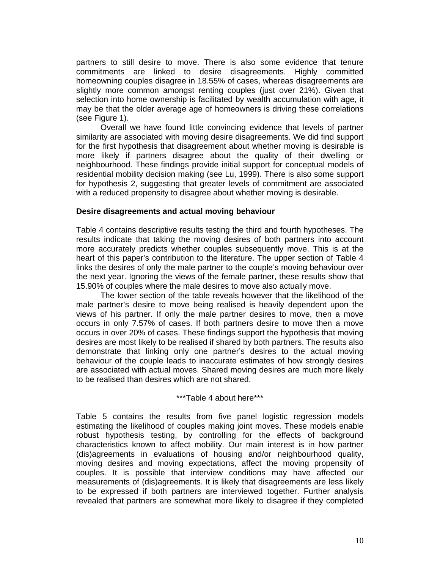partners to still desire to move. There is also some evidence that tenure commitments are linked to desire disagreements. Highly committed homeowning couples disagree in 18.55% of cases, whereas disagreements are slightly more common amongst renting couples (just over 21%). Given that selection into home ownership is facilitated by wealth accumulation with age, it may be that the older average age of homeowners is driving these correlations (see Figure 1).

Overall we have found little convincing evidence that levels of partner similarity are associated with moving desire disagreements. We did find support for the first hypothesis that disagreement about whether moving is desirable is more likely if partners disagree about the quality of their dwelling or neighbourhood. These findings provide initial support for conceptual models of residential mobility decision making (see Lu, 1999). There is also some support for hypothesis 2, suggesting that greater levels of commitment are associated with a reduced propensity to disagree about whether moving is desirable.

## **Desire disagreements and actual moving behaviour**

Table 4 contains descriptive results testing the third and fourth hypotheses. The results indicate that taking the moving desires of both partners into account more accurately predicts whether couples subsequently move. This is at the heart of this paper's contribution to the literature. The upper section of Table 4 links the desires of only the male partner to the couple's moving behaviour over the next year. Ignoring the views of the female partner, these results show that 15.90% of couples where the male desires to move also actually move.

 The lower section of the table reveals however that the likelihood of the male partner's desire to move being realised is heavily dependent upon the views of his partner. If only the male partner desires to move, then a move occurs in only 7.57% of cases. If both partners desire to move then a move occurs in over 20% of cases. These findings support the hypothesis that moving desires are most likely to be realised if shared by both partners. The results also demonstrate that linking only one partner's desires to the actual moving behaviour of the couple leads to inaccurate estimates of how strongly desires are associated with actual moves. Shared moving desires are much more likely to be realised than desires which are not shared.

\*\*\*Table 4 about here\*\*\*

Table 5 contains the results from five panel logistic regression models estimating the likelihood of couples making joint moves. These models enable robust hypothesis testing, by controlling for the effects of background characteristics known to affect mobility. Our main interest is in how partner (dis)agreements in evaluations of housing and/or neighbourhood quality, moving desires and moving expectations, affect the moving propensity of couples. It is possible that interview conditions may have affected our measurements of (dis)agreements. It is likely that disagreements are less likely to be expressed if both partners are interviewed together. Further analysis revealed that partners are somewhat more likely to disagree if they completed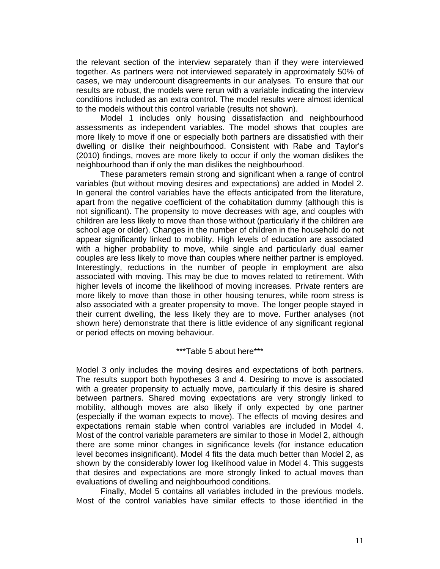the relevant section of the interview separately than if they were interviewed together. As partners were not interviewed separately in approximately 50% of cases, we may undercount disagreements in our analyses. To ensure that our results are robust, the models were rerun with a variable indicating the interview conditions included as an extra control. The model results were almost identical to the models without this control variable (results not shown).

Model 1 includes only housing dissatisfaction and neighbourhood assessments as independent variables. The model shows that couples are more likely to move if one or especially both partners are dissatisfied with their dwelling or dislike their neighbourhood. Consistent with Rabe and Taylor's (2010) findings, moves are more likely to occur if only the woman dislikes the neighbourhood than if only the man dislikes the neighbourhood.

These parameters remain strong and significant when a range of control variables (but without moving desires and expectations) are added in Model 2. In general the control variables have the effects anticipated from the literature, apart from the negative coefficient of the cohabitation dummy (although this is not significant). The propensity to move decreases with age, and couples with children are less likely to move than those without (particularly if the children are school age or older). Changes in the number of children in the household do not appear significantly linked to mobility. High levels of education are associated with a higher probability to move, while single and particularly dual earner couples are less likely to move than couples where neither partner is employed. Interestingly, reductions in the number of people in employment are also associated with moving. This may be due to moves related to retirement. With higher levels of income the likelihood of moving increases. Private renters are more likely to move than those in other housing tenures, while room stress is also associated with a greater propensity to move. The longer people stayed in their current dwelling, the less likely they are to move. Further analyses (not shown here) demonstrate that there is little evidence of any significant regional or period effects on moving behaviour.

\*\*\*Table 5 about here\*\*\*

Model 3 only includes the moving desires and expectations of both partners. The results support both hypotheses 3 and 4. Desiring to move is associated with a greater propensity to actually move, particularly if this desire is shared between partners. Shared moving expectations are very strongly linked to mobility, although moves are also likely if only expected by one partner (especially if the woman expects to move). The effects of moving desires and expectations remain stable when control variables are included in Model 4. Most of the control variable parameters are similar to those in Model 2, although there are some minor changes in significance levels (for instance education level becomes insignificant). Model 4 fits the data much better than Model 2, as shown by the considerably lower log likelihood value in Model 4. This suggests that desires and expectations are more strongly linked to actual moves than evaluations of dwelling and neighbourhood conditions.

 Finally, Model 5 contains all variables included in the previous models. Most of the control variables have similar effects to those identified in the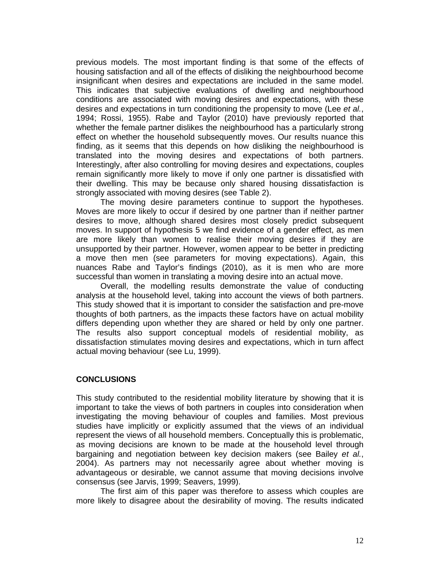previous models. The most important finding is that some of the effects of housing satisfaction and all of the effects of disliking the neighbourhood become insignificant when desires and expectations are included in the same model. This indicates that subjective evaluations of dwelling and neighbourhood conditions are associated with moving desires and expectations, with these desires and expectations in turn conditioning the propensity to move (Lee *et al.*, 1994; Rossi, 1955). Rabe and Taylor (2010) have previously reported that whether the female partner dislikes the neighbourhood has a particularly strong effect on whether the household subsequently moves. Our results nuance this finding, as it seems that this depends on how disliking the neighbourhood is translated into the moving desires and expectations of both partners. Interestingly, after also controlling for moving desires and expectations, couples remain significantly more likely to move if only one partner is dissatisfied with their dwelling. This may be because only shared housing dissatisfaction is strongly associated with moving desires (see Table 2).

The moving desire parameters continue to support the hypotheses. Moves are more likely to occur if desired by one partner than if neither partner desires to move, although shared desires most closely predict subsequent moves. In support of hypothesis 5 we find evidence of a gender effect, as men are more likely than women to realise their moving desires if they are unsupported by their partner. However, women appear to be better in predicting a move then men (see parameters for moving expectations). Again, this nuances Rabe and Taylor's findings (2010), as it is men who are more successful than women in translating a moving desire into an actual move.

Overall, the modelling results demonstrate the value of conducting analysis at the household level, taking into account the views of both partners. This study showed that it is important to consider the satisfaction and pre-move thoughts of both partners, as the impacts these factors have on actual mobility differs depending upon whether they are shared or held by only one partner. The results also support conceptual models of residential mobility, as dissatisfaction stimulates moving desires and expectations, which in turn affect actual moving behaviour (see Lu, 1999).

# **CONCLUSIONS**

This study contributed to the residential mobility literature by showing that it is important to take the views of both partners in couples into consideration when investigating the moving behaviour of couples and families. Most previous studies have implicitly or explicitly assumed that the views of an individual represent the views of all household members. Conceptually this is problematic, as moving decisions are known to be made at the household level through bargaining and negotiation between key decision makers (see Bailey *et al.*, 2004). As partners may not necessarily agree about whether moving is advantageous or desirable, we cannot assume that moving decisions involve consensus (see Jarvis, 1999; Seavers, 1999).

 The first aim of this paper was therefore to assess which couples are more likely to disagree about the desirability of moving. The results indicated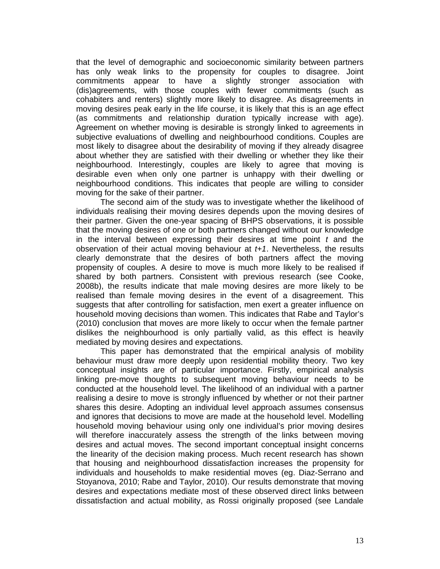that the level of demographic and socioeconomic similarity between partners has only weak links to the propensity for couples to disagree. Joint commitments appear to have a slightly stronger association with (dis)agreements, with those couples with fewer commitments (such as cohabiters and renters) slightly more likely to disagree. As disagreements in moving desires peak early in the life course, it is likely that this is an age effect (as commitments and relationship duration typically increase with age). Agreement on whether moving is desirable is strongly linked to agreements in subjective evaluations of dwelling and neighbourhood conditions. Couples are most likely to disagree about the desirability of moving if they already disagree about whether they are satisfied with their dwelling or whether they like their neighbourhood. Interestingly, couples are likely to agree that moving is desirable even when only one partner is unhappy with their dwelling or neighbourhood conditions. This indicates that people are willing to consider moving for the sake of their partner.

The second aim of the study was to investigate whether the likelihood of individuals realising their moving desires depends upon the moving desires of their partner. Given the one-year spacing of BHPS observations, it is possible that the moving desires of one or both partners changed without our knowledge in the interval between expressing their desires at time point *t* and the observation of their actual moving behaviour at *t+1*. Nevertheless, the results clearly demonstrate that the desires of both partners affect the moving propensity of couples. A desire to move is much more likely to be realised if shared by both partners. Consistent with previous research (see Cooke, 2008b), the results indicate that male moving desires are more likely to be realised than female moving desires in the event of a disagreement. This suggests that after controlling for satisfaction, men exert a greater influence on household moving decisions than women. This indicates that Rabe and Taylor's (2010) conclusion that moves are more likely to occur when the female partner dislikes the neighbourhood is only partially valid, as this effect is heavily mediated by moving desires and expectations.

This paper has demonstrated that the empirical analysis of mobility behaviour must draw more deeply upon residential mobility theory. Two key conceptual insights are of particular importance. Firstly, empirical analysis linking pre-move thoughts to subsequent moving behaviour needs to be conducted at the household level. The likelihood of an individual with a partner realising a desire to move is strongly influenced by whether or not their partner shares this desire. Adopting an individual level approach assumes consensus and ignores that decisions to move are made at the household level. Modelling household moving behaviour using only one individual's prior moving desires will therefore inaccurately assess the strength of the links between moving desires and actual moves. The second important conceptual insight concerns the linearity of the decision making process. Much recent research has shown that housing and neighbourhood dissatisfaction increases the propensity for individuals and households to make residential moves (eg. Diaz-Serrano and Stoyanova, 2010; Rabe and Taylor, 2010). Our results demonstrate that moving desires and expectations mediate most of these observed direct links between dissatisfaction and actual mobility, as Rossi originally proposed (see Landale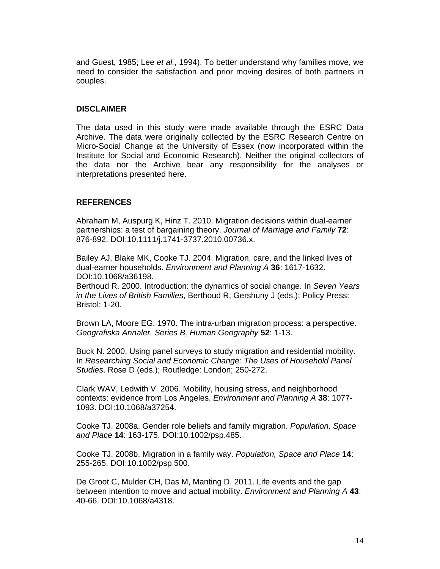and Guest, 1985; Lee *et al.*, 1994). To better understand why families move, we need to consider the satisfaction and prior moving desires of both partners in couples.

## **DISCLAIMER**

The data used in this study were made available through the ESRC Data Archive. The data were originally collected by the ESRC Research Centre on Micro-Social Change at the University of Essex (now incorporated within the Institute for Social and Economic Research). Neither the original collectors of the data nor the Archive bear any responsibility for the analyses or interpretations presented here.

# **REFERENCES**

Abraham M, Auspurg K, Hinz T. 2010. Migration decisions within dual-earner partnerships: a test of bargaining theory. *Journal of Marriage and Family* **72**: 876-892. DOI:10.1111/j.1741-3737.2010.00736.x.

Bailey AJ, Blake MK, Cooke TJ. 2004. Migration, care, and the linked lives of dual-earner households. *Environment and Planning A* **36**: 1617-1632. DOI:10.1068/a36198.

Berthoud R. 2000. Introduction: the dynamics of social change. In *Seven Years in the Lives of British Families*, Berthoud R, Gershuny J (eds.); Policy Press: Bristol; 1-20.

Brown LA, Moore EG. 1970. The intra-urban migration process: a perspective. *Geografiska Annaler. Series B, Human Geography* **52**: 1-13.

Buck N. 2000. Using panel surveys to study migration and residential mobility. In *Researching Social and Economic Change: The Uses of Household Panel Studies*. Rose D (eds.); Routledge: London; 250-272.

Clark WAV, Ledwith V. 2006. Mobility, housing stress, and neighborhood contexts: evidence from Los Angeles. *Environment and Planning A* **38**: 1077- 1093. DOI:10.1068/a37254.

Cooke TJ. 2008a. Gender role beliefs and family migration. *Population, Space and Place* **14**: 163-175. DOI:10.1002/psp.485.

Cooke TJ. 2008b. Migration in a family way. *Population, Space and Place* **14**: 255-265. DOI:10.1002/psp.500.

De Groot C, Mulder CH, Das M, Manting D. 2011. Life events and the gap between intention to move and actual mobility. *Environment and Planning A* **43**: 40-66. DOI:10.1068/a4318.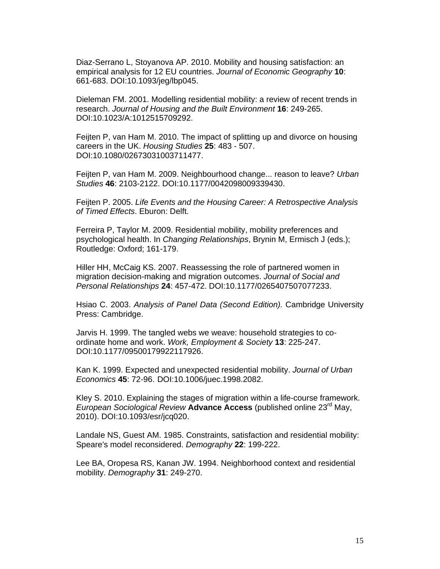Diaz-Serrano L, Stoyanova AP. 2010. Mobility and housing satisfaction: an empirical analysis for 12 EU countries. *Journal of Economic Geography* **10**: 661-683. DOI:10.1093/jeg/lbp045.

Dieleman FM. 2001. Modelling residential mobility: a review of recent trends in research. *Journal of Housing and the Built Environment* **16**: 249-265. DOI:10.1023/A:1012515709292.

Feijten P, van Ham M. 2010. The impact of splitting up and divorce on housing careers in the UK. *Housing Studies* **25**: 483 - 507. DOI:10.1080/02673031003711477.

Feijten P, van Ham M. 2009. Neighbourhood change... reason to leave? *Urban Studies* **46**: 2103-2122. DOI:10.1177/0042098009339430.

Feijten P. 2005. *Life Events and the Housing Career: A Retrospective Analysis of Timed Effects*. Eburon: Delft.

Ferreira P, Taylor M. 2009. Residential mobility, mobility preferences and psychological health. In *Changing Relationships*, Brynin M, Ermisch J (eds.); Routledge: Oxford; 161-179.

Hiller HH, McCaig KS. 2007. Reassessing the role of partnered women in migration decision-making and migration outcomes. *Journal of Social and Personal Relationships* **24**: 457-472. DOI:10.1177/0265407507077233.

Hsiao C. 2003. *Analysis of Panel Data (Second Edition).* Cambridge University Press: Cambridge.

Jarvis H. 1999. The tangled webs we weave: household strategies to coordinate home and work. *Work, Employment & Society* **13**: 225-247. DOI:10.1177/09500179922117926.

Kan K. 1999. Expected and unexpected residential mobility. *Journal of Urban Economics* **45**: 72-96. DOI:10.1006/juec.1998.2082.

Kley S. 2010. Explaining the stages of migration within a life-course framework. *European Sociological Review* **Advance Access** (published online 23rd May, 2010). DOI:10.1093/esr/jcq020.

Landale NS, Guest AM. 1985. Constraints, satisfaction and residential mobility: Speare's model reconsidered. *Demography* **22**: 199-222.

Lee BA, Oropesa RS, Kanan JW. 1994. Neighborhood context and residential mobility. *Demography* **31**: 249-270.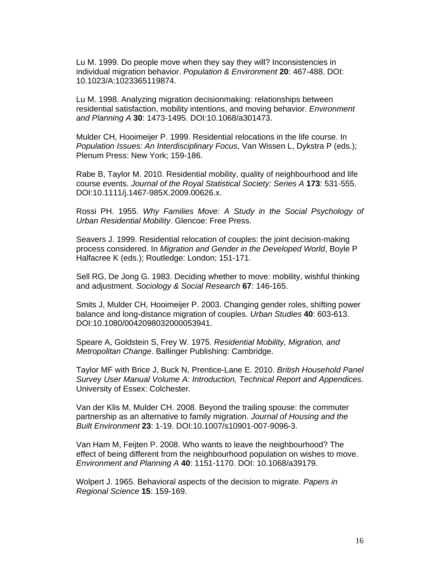Lu M. 1999. Do people move when they say they will? Inconsistencies in individual migration behavior. *Population & Environment* **20**: 467-488. DOI: 10.1023/A:1023365119874.

Lu M. 1998. Analyzing migration decisionmaking: relationships between residential satisfaction, mobility intentions, and moving behavior. *Environment and Planning A* **30**: 1473-1495. DOI:10.1068/a301473.

Mulder CH, Hooimeijer P. 1999. Residential relocations in the life course. In *Population Issues: An Interdisciplinary Focus*, Van Wissen L, Dykstra P (eds.); Plenum Press: New York; 159-186.

Rabe B, Taylor M. 2010. Residential mobility, quality of neighbourhood and life course events. *Journal of the Royal Statistical Society: Series A* **173**: 531-555. DOI:10.1111/j.1467-985X.2009.00626.x.

Rossi PH. 1955. *Why Families Move: A Study in the Social Psychology of Urban Residential Mobility*. Glencoe: Free Press.

Seavers J. 1999. Residential relocation of couples: the joint decision-making process considered. In *Migration and Gender in the Developed World*, Boyle P Halfacree K (eds.); Routledge: London; 151-171.

Sell RG, De Jong G. 1983. Deciding whether to move: mobility, wishful thinking and adjustment. *Sociology & Social Research* **67**: 146-165.

Smits J, Mulder CH, Hooimeijer P. 2003. Changing gender roles, shifting power balance and long-distance migration of couples. *Urban Studies* **40**: 603-613. DOI:10.1080/0042098032000053941.

Speare A, Goldstein S, Frey W. 1975. *Residential Mobility, Migration, and Metropolitan Change*. Ballinger Publishing: Cambridge.

Taylor MF with Brice J, Buck N, Prentice-Lane E. 2010. *British Household Panel Survey User Manual Volume A: Introduction, Technical Report and Appendices.* University of Essex: Colchester.

Van der Klis M, Mulder CH. 2008. Beyond the trailing spouse: the commuter partnership as an alternative to family migration. *Journal of Housing and the Built Environment* **23**: 1-19. DOI:10.1007/s10901-007-9096-3.

Van Ham M, Feijten P. 2008. Who wants to leave the neighbourhood? The effect of being different from the neighbourhood population on wishes to move. *Environment and Planning A* **40**: 1151-1170. DOI: 10.1068/a39179.

Wolpert J. 1965. Behavioral aspects of the decision to migrate. *Papers in Regional Science* **15**: 159-169.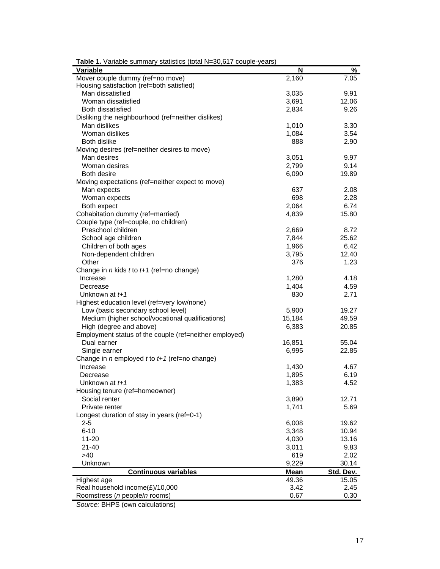| Variable                                               | N      | %         |
|--------------------------------------------------------|--------|-----------|
| Mover couple dummy (ref=no move)                       | 2,160  | 7.05      |
| Housing satisfaction (ref=both satisfied)              |        |           |
| Man dissatisfied                                       | 3,035  | 9.91      |
| Woman dissatisfied                                     | 3,691  | 12.06     |
| <b>Both dissatisfied</b>                               | 2,834  | 9.26      |
| Disliking the neighbourhood (ref=neither dislikes)     |        |           |
| Man dislikes                                           | 1,010  | 3.30      |
| Woman dislikes                                         | 1,084  | 3.54      |
| Both dislike                                           | 888    | 2.90      |
| Moving desires (ref=neither desires to move)           |        |           |
| Man desires                                            | 3,051  | 9.97      |
| Woman desires                                          | 2,799  | 9.14      |
| Both desire                                            | 6,090  | 19.89     |
| Moving expectations (ref=neither expect to move)       |        |           |
| Man expects                                            | 637    | 2.08      |
| Woman expects                                          | 698    | 2.28      |
| Both expect                                            | 2,064  | 6.74      |
| Cohabitation dummy (ref=married)                       | 4,839  | 15.80     |
| Couple type (ref=couple, no children)                  |        |           |
| Preschool children                                     | 2,669  | 8.72      |
| School age children                                    | 7,844  | 25.62     |
| Children of both ages                                  | 1,966  | 6.42      |
| Non-dependent children                                 | 3,795  | 12.40     |
| Other                                                  | 376    | 1.23      |
| Change in $n$ kids $t$ to $t+1$ (ref=no change)        |        |           |
| Increase                                               | 1,280  | 4.18      |
| Decrease                                               | 1,404  | 4.59      |
| Unknown at $t+1$                                       | 830    | 2.71      |
| Highest education level (ref=very low/none)            |        |           |
| Low (basic secondary school level)                     | 5,900  | 19.27     |
| Medium (higher school/vocational qualifications)       | 15,184 | 49.59     |
| High (degree and above)                                | 6,383  | 20.85     |
| Employment status of the couple (ref=neither employed) |        |           |
| Dual earner                                            | 16,851 | 55.04     |
| Single earner                                          | 6,995  | 22.85     |
| Change in $n$ employed $t$ to $t+1$ (ref=no change)    |        |           |
| Increase                                               | 1,430  | 4.67      |
| Decrease                                               | 1,895  | 6.19      |
| Unknown at $t+1$                                       | 1,383  | 4.52      |
| Housing tenure (ref=homeowner)                         |        |           |
| Social renter                                          | 3,890  | 12.71     |
| Private renter                                         | 1,741  | 5.69      |
| Longest duration of stay in years (ref=0-1)            |        |           |
| $2 - 5$                                                | 6,008  | 19.62     |
| $6 - 10$                                               | 3,348  | 10.94     |
| $11 - 20$                                              | 4,030  | 13.16     |
| $21 - 40$                                              | 3,011  | 9.83      |
| $>40$                                                  | 619    | 2.02      |
| Unknown                                                | 9,229  | 30.14     |
| <b>Continuous variables</b>                            | Mean   | Std. Dev. |
| Highest age                                            | 49.36  | 15.05     |
| Real household income(£)/10,000                        | 3.42   | 2.45      |
| Roomstress (n people/n rooms)                          | 0.67   | 0.30      |

**Table 1.** Variable summary statistics (total N=30,617 couple-years)

*Source:* BHPS (own calculations)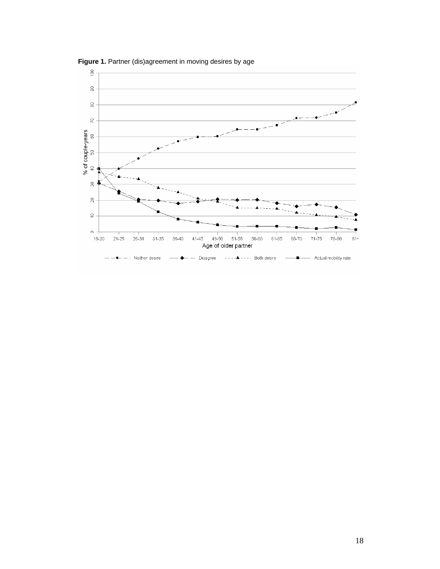

 **Figure 1.** Partner (dis)agreement in moving desires by age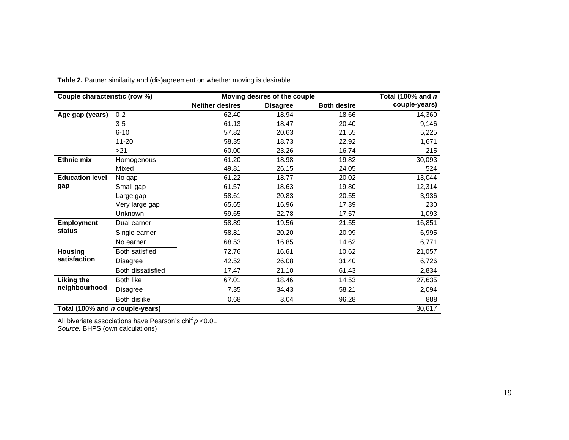|                                 | Couple characteristic (row %)<br>Moving desires of the couple |                        |                 |                    |               |  |
|---------------------------------|---------------------------------------------------------------|------------------------|-----------------|--------------------|---------------|--|
|                                 |                                                               | <b>Neither desires</b> | <b>Disagree</b> | <b>Both desire</b> | couple-years) |  |
| Age gap (years)                 | $0 - 2$                                                       | 62.40                  | 18.94           | 18.66              | 14,360        |  |
|                                 | $3-5$                                                         | 61.13                  | 18.47           | 20.40              | 9,146         |  |
|                                 | $6 - 10$                                                      | 57.82                  | 20.63           | 21.55              | 5,225         |  |
|                                 | $11 - 20$                                                     | 58.35                  | 18.73           | 22.92              | 1,671         |  |
|                                 | >21                                                           | 60.00                  | 23.26           | 16.74              | 215           |  |
| <b>Ethnic mix</b>               | Homogenous                                                    | 61.20                  | 18.98           | 19.82              | 30,093        |  |
|                                 | Mixed                                                         | 49.81                  | 26.15           | 24.05              | 524           |  |
| <b>Education level</b>          | No gap                                                        | 61.22                  | 18.77           | 20.02              | 13,044        |  |
| gap                             | Small gap                                                     | 61.57                  | 18.63           | 19.80              | 12,314        |  |
|                                 | Large gap                                                     | 58.61                  | 20.83           | 20.55              | 3,936         |  |
|                                 | Very large gap                                                | 65.65                  | 16.96           | 17.39              | 230           |  |
|                                 | <b>Unknown</b>                                                | 59.65                  | 22.78           | 17.57              | 1,093         |  |
| <b>Employment</b>               | Dual earner                                                   | 58.89                  | 19.56           | 21.55              | 16,851        |  |
| status                          | Single earner                                                 | 58.81                  | 20.20           | 20.99              | 6,995         |  |
|                                 | No earner                                                     | 68.53                  | 16.85           | 14.62              | 6,771         |  |
| <b>Housing</b>                  | Both satisfied                                                | 72.76                  | 16.61           | 10.62              | 21,057        |  |
| satisfaction                    | Disagree                                                      | 42.52                  | 26.08           | 31.40              | 6,726         |  |
|                                 | Both dissatisfied                                             | 17.47                  | 21.10           | 61.43              | 2,834         |  |
| <b>Liking the</b>               | Both like                                                     | 67.01                  | 18.46           | 14.53              | 27,635        |  |
| neighbourhood                   | Disagree                                                      | 7.35                   | 34.43           | 58.21              | 2,094         |  |
|                                 | Both dislike                                                  | 0.68                   | 3.04            | 96.28              | 888           |  |
| Total (100% and n couple-years) |                                                               |                        |                 |                    | 30,617        |  |

**Table 2.** Partner similarity and (dis)agreement on whether moving is desirable

All bivariate associations have Pearson's chi<sup>2</sup> p <0.01 *Source:* BHPS (own calculations)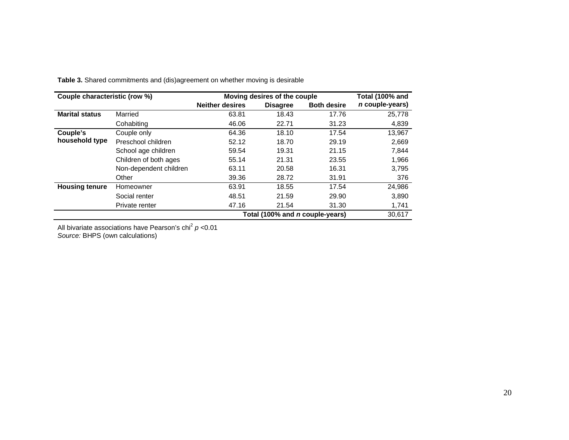| Couple characteristic (row %) |                        | Moving desires of the couple | Total (100% and                        |                    |                 |
|-------------------------------|------------------------|------------------------------|----------------------------------------|--------------------|-----------------|
|                               |                        | <b>Neither desires</b>       | <b>Disagree</b>                        | <b>Both desire</b> | n couple-years) |
| <b>Marital status</b>         | Married                | 63.81                        | 18.43                                  | 17.76              | 25,778          |
|                               | Cohabiting             | 46.06                        | 22.71                                  | 31.23              | 4,839           |
| Couple's                      | Couple only            | 64.36                        | 18.10                                  | 17.54              | 13,967          |
| household type                | Preschool children     | 52.12                        | 18.70                                  | 29.19              | 2,669           |
|                               | School age children    | 59.54                        | 19.31                                  | 21.15              | 7,844           |
|                               | Children of both ages  | 55.14                        | 21.31                                  | 23.55              | 1,966           |
|                               | Non-dependent children | 63.11                        | 20.58                                  | 16.31              | 3.795           |
|                               | Other                  | 39.36                        | 28.72                                  | 31.91              | 376             |
| <b>Housing tenure</b>         | Homeowner              | 63.91                        | 18.55                                  | 17.54              | 24,986          |
|                               | Social renter          | 48.51                        | 21.59                                  | 29.90              | 3,890           |
|                               | Private renter         | 47.16                        | 21.54                                  | 31.30              | 1,741           |
|                               |                        |                              | Total (100% and <i>n</i> couple-years) |                    | 30,617          |

**Table 3.** Shared commitments and (dis)agreement on whether moving is desirable

All bivariate associations have Pearson's chi<sup>2</sup> *p* <0.01

*Source:* BHPS (own calculations)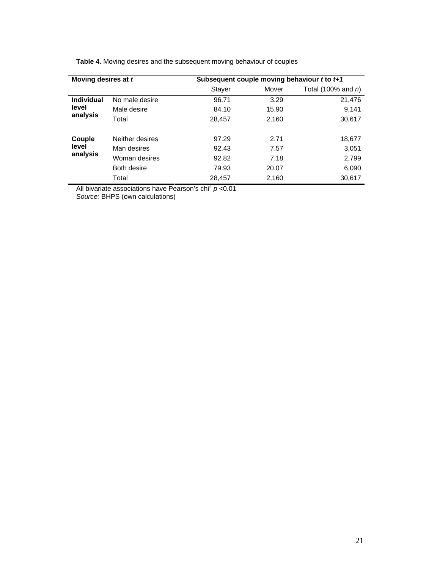| Moving desires at t |                 | Subsequent couple moving behaviour t to t+1 |        |                       |  |  |  |  |
|---------------------|-----------------|---------------------------------------------|--------|-----------------------|--|--|--|--|
|                     |                 | <b>Stayer</b>                               | Mover  | Total (100% and $n$ ) |  |  |  |  |
| <b>Individual</b>   | No male desire  | 96.71                                       | 3.29   | 21,476                |  |  |  |  |
| level               | Male desire     | 84.10                                       | 15.90  | 9.141                 |  |  |  |  |
| analysis<br>Total   | 28.457          | 2.160                                       | 30.617 |                       |  |  |  |  |
| Couple              | Neither desires | 97.29                                       | 2.71   | 18,677                |  |  |  |  |
| level               | Man desires     | 92.43                                       | 7.57   | 3.051                 |  |  |  |  |
| analysis            | Woman desires   | 92.82                                       | 7.18   | 2,799                 |  |  |  |  |
|                     | Both desire     | 79.93                                       | 20.07  | 6,090                 |  |  |  |  |
|                     | Total           | 28,457                                      | 2,160  | 30,617                |  |  |  |  |

**Table 4.** Moving desires and the subsequent moving behaviour of couples

All bivariate associations have Pearson's chi<sup>2</sup> *p* <0.01

*Source:* BHPS (own calculations)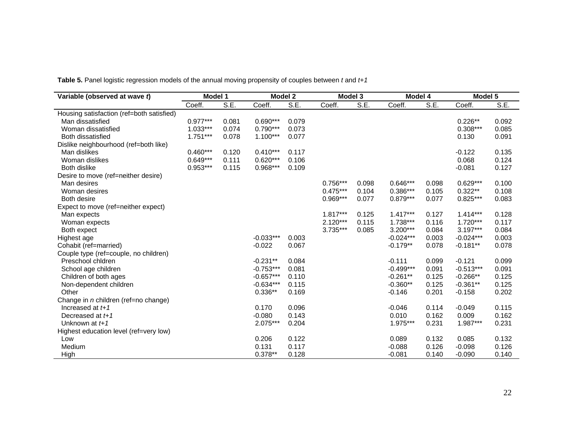**Table 5.** Panel logistic regression models of the annual moving propensity of couples between *t* and *t+1* 

| Variable (observed at wave t)             | Model 1    |                                    | Model 2     |                                    | Model 3    |       | Model 4     |       | Model 5     |       |
|-------------------------------------------|------------|------------------------------------|-------------|------------------------------------|------------|-------|-------------|-------|-------------|-------|
|                                           | Coeff.     | $\overline{\mathsf{S}.\mathsf{E}}$ | Coeff.      | $\overline{\mathsf{S}.\mathsf{E}}$ | Coeff.     | S.E.  | Coeff.      | S.E.  | Coeff.      | S.E.  |
| Housing satisfaction (ref=both satisfied) |            |                                    |             |                                    |            |       |             |       |             |       |
| Man dissatisfied                          | $0.977***$ | 0.081                              | $0.690***$  | 0.079                              |            |       |             |       | $0.226**$   | 0.092 |
| Woman dissatisfied                        | 1.033***   | 0.074                              | $0.790***$  | 0.073                              |            |       |             |       | $0.308***$  | 0.085 |
| Both dissatisfied                         | $1.751***$ | 0.078                              | $1.100***$  | 0.077                              |            |       |             |       | 0.130       | 0.091 |
| Dislike neighbourhood (ref=both like)     |            |                                    |             |                                    |            |       |             |       |             |       |
| Man dislikes                              | $0.460***$ | 0.120                              | $0.410***$  | 0.117                              |            |       |             |       | $-0.122$    | 0.135 |
| Woman dislikes                            | $0.649***$ | 0.111                              | $0.620***$  | 0.106                              |            |       |             |       | 0.068       | 0.124 |
| <b>Both dislike</b>                       | $0.953***$ | 0.115                              | 0.968***    | 0.109                              |            |       |             |       | $-0.081$    | 0.127 |
| Desire to move (ref=neither desire)       |            |                                    |             |                                    |            |       |             |       |             |       |
| Man desires                               |            |                                    |             |                                    | $0.756***$ | 0.098 | $0.646***$  | 0.098 | $0.629***$  | 0.100 |
| Woman desires                             |            |                                    |             |                                    | $0.475***$ | 0.104 | $0.386***$  | 0.105 | $0.322**$   | 0.108 |
| Both desire                               |            |                                    |             |                                    | $0.969***$ | 0.077 | $0.879***$  | 0.077 | $0.825***$  | 0.083 |
| Expect to move (ref=neither expect)       |            |                                    |             |                                    |            |       |             |       |             |       |
| Man expects                               |            |                                    |             |                                    | 1.817***   | 0.125 | $1.417***$  | 0.127 | $1.414***$  | 0.128 |
| Woman expects                             |            |                                    |             |                                    | $2.120***$ | 0.115 | 1.738***    | 0.116 | 1.720***    | 0.117 |
| Both expect                               |            |                                    |             |                                    | 3.735***   | 0.085 | $3.200***$  | 0.084 | $3.197***$  | 0.084 |
| Highest age                               |            |                                    | $-0.033***$ | 0.003                              |            |       | $-0.024***$ | 0.003 | $-0.024***$ | 0.003 |
| Cohabit (ref=married)                     |            |                                    | $-0.022$    | 0.067                              |            |       | $-0.179**$  | 0.078 | $-0.181**$  | 0.078 |
| Couple type (ref=couple, no children)     |            |                                    |             |                                    |            |       |             |       |             |       |
| Preschool chidren                         |            |                                    | $-0.231**$  | 0.084                              |            |       | $-0.111$    | 0.099 | $-0.121$    | 0.099 |
| School age children                       |            |                                    | $-0.753***$ | 0.081                              |            |       | $-0.499***$ | 0.091 | $-0.513***$ | 0.091 |
| Children of both ages                     |            |                                    | $-0.657***$ | 0.110                              |            |       | $-0.261**$  | 0.125 | $-0.266**$  | 0.125 |
| Non-dependent children                    |            |                                    | $-0.634***$ | 0.115                              |            |       | $-0.360**$  | 0.125 | $-0.361**$  | 0.125 |
| Other                                     |            |                                    | $0.336**$   | 0.169                              |            |       | $-0.146$    | 0.201 | $-0.158$    | 0.202 |
| Change in n children (ref=no change)      |            |                                    |             |                                    |            |       |             |       |             |       |
| Increased at $t+1$                        |            |                                    | 0.170       | 0.096                              |            |       | $-0.046$    | 0.114 | $-0.049$    | 0.115 |
| Decreased at $t+1$                        |            |                                    | $-0.080$    | 0.143                              |            |       | 0.010       | 0.162 | 0.009       | 0.162 |
| Unknown at $t+1$                          |            |                                    | 2.075***    | 0.204                              |            |       | 1.975***    | 0.231 | 1.987***    | 0.231 |
| Highest education level (ref=very low)    |            |                                    |             |                                    |            |       |             |       |             |       |
| Low                                       |            |                                    | 0.206       | 0.122                              |            |       | 0.089       | 0.132 | 0.085       | 0.132 |
| Medium                                    |            |                                    | 0.131       | 0.117                              |            |       | $-0.088$    | 0.126 | $-0.098$    | 0.126 |
| High                                      |            |                                    | $0.378**$   | 0.128                              |            |       | $-0.081$    | 0.140 | $-0.090$    | 0.140 |